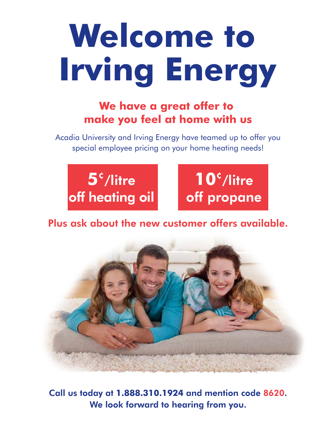# **Welcome to Irving Energy Welcome to**

# **IFVE HAVE A great offer to be a great offer to make you feel at home with us**

**We have a great offer** special employee pricing on your home heating needs! Acadia University and Irving Energy have teamed up to offer you





of the construction on offers. Plus ask about the new customer offers available.



 $\overline{6}$  U us to  $\overline{1}$  and  $\overline{8}$  and  $\overline{1}$  and  $\overline{1}$  and  $\overline{1}$  and  $\overline{1}$  and  $\overline{1}$ Call us today at **1.888.310.1924** and mention code 8620. We look forward to hearing from you.